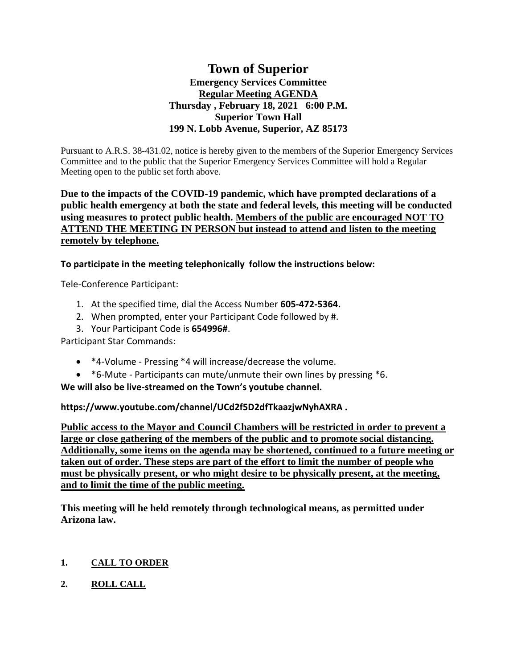# **Town of Superior Emergency Services Committee Regular Meeting AGENDA Thursday , February 18, 2021 6:00 P.M. Superior Town Hall 199 N. Lobb Avenue, Superior, AZ 85173**

Pursuant to A.R.S. 38-431.02, notice is hereby given to the members of the Superior Emergency Services Committee and to the public that the Superior Emergency Services Committee will hold a Regular Meeting open to the public set forth above.

# **Due to the impacts of the COVID-19 pandemic, which have prompted declarations of a public health emergency at both the state and federal levels, this meeting will be conducted using measures to protect public health. Members of the public are encouraged NOT TO ATTEND THE MEETING IN PERSON but instead to attend and listen to the meeting remotely by telephone.**

**To participate in the meeting telephonically follow the instructions below:**

Tele-Conference Participant:

- 1. At the specified time, dial the Access Number **605-472-5364.**
- 2. When prompted, enter your Participant Code followed by #.
- 3. Your Participant Code is **654996#**.

Participant Star Commands:

- \*4-Volume Pressing \*4 will increase/decrease the volume.
- \*6-Mute Participants can mute/unmute their own lines by pressing \*6.

**We will also be live-streamed on the Town's youtube channel.** 

**https://www.youtube.com/channel/UCd2f5D2dfTkaazjwNyhAXRA .** 

**Public access to the Mayor and Council Chambers will be restricted in order to prevent a large or close gathering of the members of the public and to promote social distancing. Additionally, some items on the agenda may be shortened, continued to a future meeting or taken out of order. These steps are part of the effort to limit the number of people who must be physically present, or who might desire to be physically present, at the meeting, and to limit the time of the public meeting.**

**This meeting will he held remotely through technological means, as permitted under Arizona law.**

# **1. CALL TO ORDER**

**2. ROLL CALL**